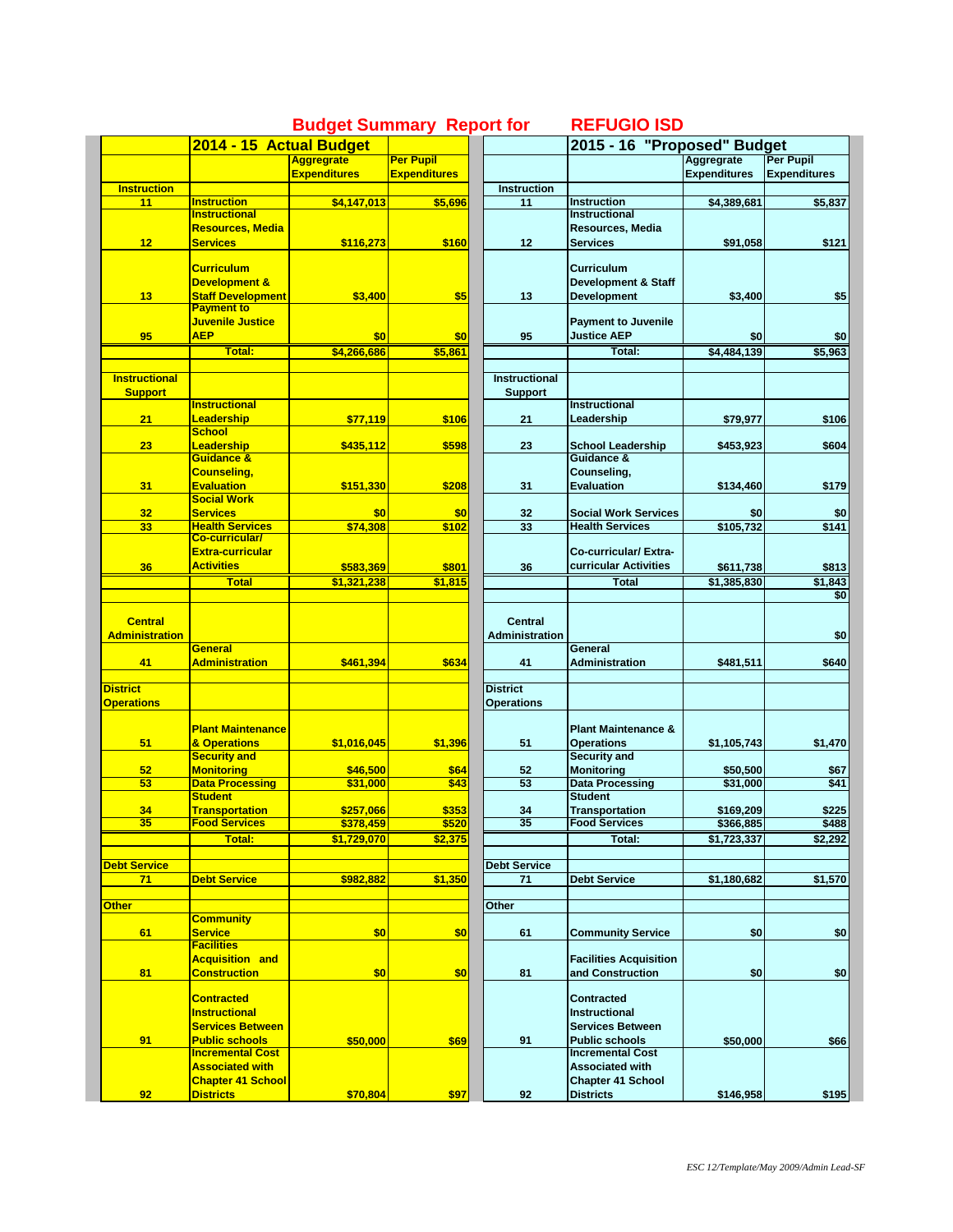|                          | 2014 - 15 Actual Budget                       |                     |                     |                     | 2015 - 16 "Proposed" Budget                   |                     |                     |
|--------------------------|-----------------------------------------------|---------------------|---------------------|---------------------|-----------------------------------------------|---------------------|---------------------|
|                          |                                               | <b>Aggregrate</b>   | <b>Per Pupil</b>    |                     |                                               | Aggregrate          | <b>Per Pupil</b>    |
|                          |                                               | <b>Expenditures</b> | <b>Expenditures</b> |                     |                                               | <b>Expenditures</b> | <b>Expenditures</b> |
|                          |                                               |                     |                     | <b>Instruction</b>  |                                               |                     |                     |
| <b>Instruction</b><br>11 | <b>Instruction</b>                            |                     |                     |                     | <b>Instruction</b>                            |                     |                     |
|                          | <b>Instructional</b>                          | \$4,147,013         | \$5,696             | 11                  | Instructional                                 | \$4,389,681         | \$5,837             |
|                          |                                               |                     |                     |                     |                                               |                     |                     |
|                          | <b>Resources, Media</b>                       |                     |                     |                     | Resources, Media                              |                     |                     |
| 12                       | <b>Services</b>                               | \$116,273           | \$160               | 12                  | <b>Services</b>                               | \$91,058            | \$121               |
|                          |                                               |                     |                     |                     |                                               |                     |                     |
|                          | <b>Curriculum</b>                             |                     |                     |                     | <b>Curriculum</b>                             |                     |                     |
|                          | Development &                                 |                     |                     |                     | <b>Development &amp; Staff</b>                |                     |                     |
| 13                       | <b>Staff Development</b>                      | \$3,400             | \$5                 | 13                  | <b>Development</b>                            | \$3,400             | \$5                 |
|                          | <b>Payment to</b>                             |                     |                     |                     |                                               |                     |                     |
|                          | Juvenile Justice                              |                     |                     |                     | <b>Payment to Juvenile</b>                    |                     |                     |
| 95                       | <b>AEP</b>                                    | \$0                 | \$0                 | 95                  | <b>Justice AEP</b>                            | \$0                 | \$0                 |
|                          | Total:                                        | \$4,266,686         | \$5,861             |                     | Total:                                        | \$4.484.139         | \$5,963             |
|                          |                                               |                     |                     |                     |                                               |                     |                     |
|                          |                                               |                     |                     |                     |                                               |                     |                     |
| <b>Instructional</b>     |                                               |                     |                     | Instructional       |                                               |                     |                     |
| <b>Support</b>           |                                               |                     |                     | Support             |                                               |                     |                     |
|                          | <b>Instructional</b>                          |                     |                     |                     | <b>Instructional</b>                          |                     |                     |
| 21                       | <b>Leadership</b>                             | \$77,119            | \$106               | 21                  | Leadership                                    | \$79,977            | \$106               |
|                          | <b>School</b>                                 |                     |                     |                     |                                               |                     |                     |
| 23                       | Leadership                                    | \$435,112           | \$598               | 23                  | <b>School Leadership</b>                      | \$453,923           | \$604               |
|                          | Guidance &                                    |                     |                     |                     | Guidance &                                    |                     |                     |
|                          | <b>Counseling,</b>                            |                     |                     |                     | Counseling,                                   |                     |                     |
| 31                       | <b>Evaluation</b>                             | \$151,330           | \$208               | 31                  | <b>Evaluation</b>                             | \$134,460           | \$179               |
|                          | <b>Social Work</b>                            |                     |                     |                     |                                               |                     |                     |
| 32                       | <b>Services</b>                               | \$0                 | \$0                 |                     | <b>Social Work Services</b>                   | \$0                 | \$0                 |
|                          |                                               |                     |                     | 32                  |                                               |                     |                     |
| 33                       | <b>Health Services</b>                        | \$74,308            | \$102               | 33                  | <b>Health Services</b>                        | \$105,732           | \$141               |
|                          | Co-curricular/                                |                     |                     |                     |                                               |                     |                     |
|                          | <b>Extra-curricular</b>                       |                     |                     |                     | Co-curricular/Extra-                          |                     |                     |
| 36                       | <b>Activities</b>                             | \$583,369           | \$801               | 36                  | curricular Activities                         | \$611,738           | \$813               |
|                          | <b>Total</b>                                  | \$1,321,238         | \$1,815             |                     | <b>Total</b>                                  | \$1.385.830         | \$1,843             |
|                          |                                               |                     |                     |                     |                                               |                     | \$0                 |
|                          |                                               |                     |                     |                     |                                               |                     |                     |
| <b>Central</b>           |                                               |                     |                     | Central             |                                               |                     |                     |
| <b>Administration</b>    |                                               |                     |                     | Administration      |                                               |                     | \$0                 |
|                          | <b>General</b>                                |                     |                     |                     | General                                       |                     |                     |
|                          |                                               |                     |                     |                     |                                               |                     |                     |
| 41                       | <b>Administration</b>                         | \$461,394           | \$634               | 41                  | <b>Administration</b>                         | \$481,511           | \$640               |
|                          |                                               |                     |                     |                     |                                               |                     |                     |
| <b>District</b>          |                                               |                     |                     | <b>District</b>     |                                               |                     |                     |
| <b>Operations</b>        |                                               |                     |                     | <b>Operations</b>   |                                               |                     |                     |
|                          |                                               |                     |                     |                     |                                               |                     |                     |
|                          | <b>Plant Maintenance</b>                      |                     |                     |                     | <b>Plant Maintenance &amp;</b>                |                     |                     |
| 51                       | & Operations                                  | \$1,016,045         | \$1,396             | 51                  | <b>Operations</b>                             | \$1,105,743         | \$1,470             |
|                          | <b>Security and</b>                           |                     |                     |                     | Security and                                  |                     |                     |
| 52                       | <b>Monitoring</b>                             | \$46,500            | \$64                | 52                  | <b>Monitoring</b>                             | \$50,500            | \$67                |
| 53                       | <b>Data Processing</b>                        | \$31,000            | \$43                | 53                  | <b>Data Processing</b>                        | \$31,000            | \$41                |
|                          | <b>Student</b>                                |                     |                     |                     | <b>Student</b>                                |                     |                     |
|                          |                                               | \$257.066           |                     |                     |                                               |                     |                     |
| 34<br>35                 | <b>Transportation</b><br><b>Food Services</b> |                     | \$353               | 34<br>35            | <b>Transportation</b><br><b>Food Services</b> | \$169,209           | \$225               |
|                          |                                               | \$378,459           | \$520               |                     |                                               | \$366,885           | \$488               |
|                          | Total:                                        | \$1,729,070         | \$2,375             |                     | Total:                                        | \$1,723,337         | \$2,292             |
|                          |                                               |                     |                     |                     |                                               |                     |                     |
| <b>Debt Service</b>      |                                               |                     |                     | <b>Debt Service</b> |                                               |                     |                     |
| 71                       | <b>Debt Service</b>                           | \$982,882           | \$1,350             | 71                  | <b>Debt Service</b>                           | \$1,180,682         | \$1,570             |
|                          |                                               |                     |                     |                     |                                               |                     |                     |
| <b>Other</b>             |                                               |                     |                     | Other               |                                               |                     |                     |
|                          | <b>Community</b>                              |                     |                     |                     |                                               |                     |                     |
| 61                       | <b>Service</b>                                | \$0                 | \$0                 | 61                  |                                               |                     |                     |
|                          |                                               |                     |                     |                     | <b>Community Service</b>                      | \$0                 | \$0                 |
|                          | <b>Facilities</b>                             |                     |                     |                     |                                               |                     |                     |
|                          | <b>Acquisition and</b>                        |                     |                     |                     | <b>Facilities Acquisition</b>                 |                     |                     |
| 81                       | <b>Construction</b>                           | \$0                 | \$0                 | 81                  | and Construction                              | \$0                 | \$0                 |
|                          |                                               |                     |                     |                     |                                               |                     |                     |
|                          | <b>Contracted</b>                             |                     |                     |                     | <b>Contracted</b>                             |                     |                     |
|                          | <b>Instructional</b>                          |                     |                     |                     | <b>Instructional</b>                          |                     |                     |
|                          | <b>Services Between</b>                       |                     |                     |                     | <b>Services Between</b>                       |                     |                     |
| 91                       | <b>Public schools</b>                         | \$50,000            | \$69                | 91                  | <b>Public schools</b>                         | \$50,000            | \$66                |
|                          | <u>Incremental Cost</u>                       |                     |                     |                     | <b>Incremental Cost</b>                       |                     |                     |
|                          | <b>Associated with</b>                        |                     |                     |                     | <b>Associated with</b>                        |                     |                     |
|                          |                                               |                     |                     |                     |                                               |                     |                     |
|                          | <b>Chapter 41 School</b>                      |                     |                     |                     | <b>Chapter 41 School</b>                      |                     |                     |
| 92                       | <b>Districts</b>                              | \$70,804            | \$97                | 92                  | <b>Districts</b>                              | \$146,958           | \$195               |

## **Budget Summary Report for REFUGIO ISD**

|                     | 2015 - 16 "Proposed" Budget                           |                     |                     |  |  |  |
|---------------------|-------------------------------------------------------|---------------------|---------------------|--|--|--|
|                     |                                                       | <b>Aggregrate</b>   | Per Pupil           |  |  |  |
|                     |                                                       | <b>Expenditures</b> | <b>Expenditures</b> |  |  |  |
| Instruction         |                                                       |                     |                     |  |  |  |
| 11                  | <b>Instruction</b>                                    | \$4,389,681         | \$5,837             |  |  |  |
|                     | <b>Instructional</b>                                  |                     |                     |  |  |  |
|                     | Resources, Media                                      |                     |                     |  |  |  |
| 12                  | <b>Services</b>                                       | \$91,058            | \$121               |  |  |  |
|                     |                                                       |                     |                     |  |  |  |
|                     | Curriculum                                            |                     |                     |  |  |  |
| 13                  | <b>Development &amp; Staff</b><br><b>Development</b>  | \$3,400             | \$5                 |  |  |  |
|                     |                                                       |                     |                     |  |  |  |
|                     | <b>Payment to Juvenile</b>                            |                     |                     |  |  |  |
| 95                  | <b>Justice AEP</b>                                    | \$0                 | \$0                 |  |  |  |
|                     | Total:                                                | \$4,484,139         | \$5,963             |  |  |  |
|                     |                                                       |                     |                     |  |  |  |
| Instructional       |                                                       |                     |                     |  |  |  |
| <b>Support</b>      |                                                       |                     |                     |  |  |  |
|                     | <b>Instructional</b>                                  |                     |                     |  |  |  |
| 21                  | Leadership                                            | \$79,977            | \$106               |  |  |  |
|                     |                                                       |                     |                     |  |  |  |
| 23                  | <b>School Leadership</b>                              | \$453,923           | \$604               |  |  |  |
|                     | Guidance &                                            |                     |                     |  |  |  |
|                     | Counseling,                                           |                     |                     |  |  |  |
| 31                  | <b>Evaluation</b>                                     | \$134,460           | \$179               |  |  |  |
|                     |                                                       |                     |                     |  |  |  |
| 32                  | <b>Social Work Services</b><br><b>Health Services</b> | \$0                 | \$0                 |  |  |  |
| 33                  |                                                       | \$105,732           | \$141               |  |  |  |
|                     | Co-curricular/Extra-                                  |                     |                     |  |  |  |
| 36                  | curricular Activities                                 | \$611,738           | \$813               |  |  |  |
|                     | Total                                                 |                     |                     |  |  |  |
|                     |                                                       | \$1,385,830         | \$1,843<br>\$0      |  |  |  |
|                     |                                                       |                     |                     |  |  |  |
| <b>Central</b>      |                                                       |                     |                     |  |  |  |
| Administration      |                                                       |                     | \$0                 |  |  |  |
|                     | General                                               |                     |                     |  |  |  |
| 41                  | Administration                                        | \$481,511           | \$640               |  |  |  |
|                     |                                                       |                     |                     |  |  |  |
| <b>District</b>     |                                                       |                     |                     |  |  |  |
| <b>Operations</b>   |                                                       |                     |                     |  |  |  |
|                     |                                                       |                     |                     |  |  |  |
|                     | <b>Plant Maintenance &amp;</b>                        |                     |                     |  |  |  |
| 51                  | <b>Operations</b>                                     | \$1,105,743         | \$1,470             |  |  |  |
|                     | <b>Security and</b>                                   |                     |                     |  |  |  |
| 52                  | <b>Monitoring</b>                                     | \$50,500            | \$67                |  |  |  |
| 53                  | Data Processing                                       | \$31,000            | \$41                |  |  |  |
|                     | <b>Student</b>                                        |                     |                     |  |  |  |
| 34<br>35            | <b>Transportation</b><br><b>Food Services</b>         | \$169,209           | \$225<br>\$488      |  |  |  |
|                     |                                                       | \$366,885           |                     |  |  |  |
|                     | Total:                                                | \$1,723,337         | \$2,292             |  |  |  |
| <b>Debt Service</b> |                                                       |                     |                     |  |  |  |
| 71                  | <b>Debt Service</b>                                   | \$1,180,682         | \$1,570             |  |  |  |
|                     |                                                       |                     |                     |  |  |  |
| Other               |                                                       |                     |                     |  |  |  |
|                     |                                                       |                     |                     |  |  |  |
| 61                  | <b>Community Service</b>                              | \$0                 | \$0                 |  |  |  |
|                     |                                                       |                     |                     |  |  |  |
|                     | <b>Facilities Acquisition</b>                         |                     |                     |  |  |  |
| 81                  | and Construction                                      | \$0                 | \$0                 |  |  |  |
|                     |                                                       |                     |                     |  |  |  |
|                     | <b>Contracted</b>                                     |                     |                     |  |  |  |
|                     | Instructional                                         |                     |                     |  |  |  |
|                     | <b>Services Between</b>                               |                     |                     |  |  |  |
| 91                  | <b>Public schools</b>                                 | \$50,000            | \$66                |  |  |  |
|                     | <b>Incremental Cost</b>                               |                     |                     |  |  |  |
|                     | <b>Associated with</b>                                |                     |                     |  |  |  |
|                     | <b>Chapter 41 School</b>                              |                     |                     |  |  |  |
| 92                  | <b>Districts</b>                                      | \$146,958           | \$195               |  |  |  |